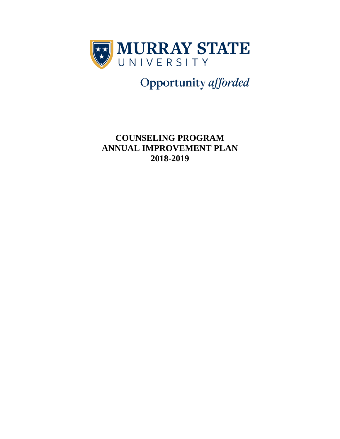

Opportunity afforded

**COUNSELING PROGRAM ANNUAL IMPROVEMENT PLAN 2018-2019**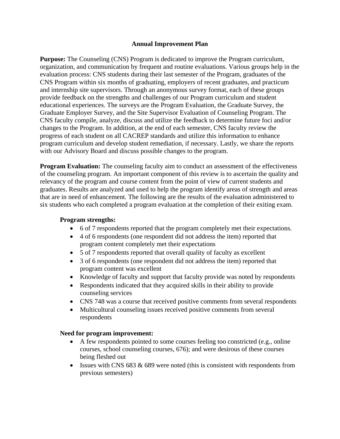## **Annual Improvement Plan**

**Purpose:** The Counseling (CNS) Program is dedicated to improve the Program curriculum, organization, and communication by frequent and routine evaluations. Various groups help in the evaluation process: CNS students during their last semester of the Program, graduates of the CNS Program within six months of graduating, employers of recent graduates, and practicum and internship site supervisors. Through an anonymous survey format, each of these groups provide feedback on the strengths and challenges of our Program curriculum and student educational experiences. The surveys are the Program Evaluation, the Graduate Survey, the Graduate Employer Survey, and the Site Supervisor Evaluation of Counseling Program. The CNS faculty compile, analyze, discuss and utilize the feedback to determine future foci and/or changes to the Program. In addition, at the end of each semester, CNS faculty review the progress of each student on all CACREP standards and utilize this information to enhance program curriculum and develop student remediation, if necessary. Lastly, we share the reports with our Advisory Board and discuss possible changes to the program.

**Program Evaluation:** The counseling faculty aim to conduct an assessment of the effectiveness of the counseling program. An important component of this review is to ascertain the quality and relevancy of the program and course content from the point of view of current students and graduates. Results are analyzed and used to help the program identify areas of strength and areas that are in need of enhancement. The following are the results of the evaluation administered to six students who each completed a program evaluation at the completion of their exiting exam.

## **Program strengths:**

- 6 of 7 respondents reported that the program completely met their expectations.
- 4 of 6 respondents (one respondent did not address the item) reported that program content completely met their expectations
- 5 of 7 respondents reported that overall quality of faculty as excellent
- 3 of 6 respondents (one respondent did not address the item) reported that program content was excellent
- Knowledge of faculty and support that faculty provide was noted by respondents
- Respondents indicated that they acquired skills in their ability to provide counseling services
- CNS 748 was a course that received positive comments from several respondents
- Multicultural counseling issues received positive comments from several respondents

## **Need for program improvement:**

- A few respondents pointed to some courses feeling too constricted (e.g., online courses, school counseling courses, 676); and were desirous of these courses being fleshed out
- Issues with CNS 683  $& 689$  were noted (this is consistent with respondents from previous semesters)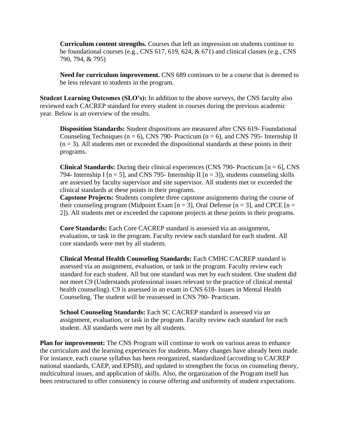**Curriculum content strengths.** Courses that left an impression on students continue to be foundational courses (e.g., CNS 617, 619, 624, & 671) and clinical classes (e.g., CNS 790, 794, & 795)

**Need for curriculum improvement.** CNS 689 continues to be a course that is deemed to be less relevant to students in the program.

**Student Learning Outcomes (SLO's):** In addition to the above surveys, the CNS faculty also reviewed each CACREP standard for every student in courses during the previous academic year. Below is an overview of the results.

**Disposition Standards:** Student dispositions are measured after CNS 619- Foundational Counseling Techniques ( $n = 6$ ), CNS 790- Practicum ( $n = 6$ ), and CNS 795- Internship II  $(n = 3)$ . All students met or exceeded the dispositional standards at these points in their programs.

**Clinical Standards:** During their clinical experiences (CNS 790- Practicum [n = 6], CNS 794- Internship I  $[n = 5]$ , and CNS 795- Internship II  $[n = 3]$ , students counseling skills are assessed by faculty supervisor and site supervisor. All students met or exceeded the clinical standards at these points in their programs.

**Capstone Projects:** Students complete three capstone assignments during the course of their counseling program (Midpoint Exam  $[n = 3]$ , Oral Defense  $[n = 3]$ , and CPCE  $[n = 1]$ 2]). All students met or exceeded the capstone projects at these points in their programs.

**Core Standards:** Each Core CACREP standard is assessed via an assignment, evaluation, or task in the program. Faculty review each standard for each student. All core standards were met by all students.

**Clinical Mental Health Counseling Standards:** Each CMHC CACREP standard is assessed via an assignment, evaluation, or task in the program. Faculty review each standard for each student. All but one standard was met by each student. One student did not meet C9 (Understands professional issues relevant to the practice of clinical mental health counseling). C9 is assessed in an exam in CNS 618- Issues in Mental Health Counseling. The student will be reassessed in CNS 790- Practicum.

**School Counseling Standards:** Each SC CACREP standard is assessed via an assignment, evaluation, or task in the program. Faculty review each standard for each student. All standards were met by all students.

**Plan for improvement:** The CNS Program will continue to work on various areas to enhance the curriculum and the learning experiences for students. Many changes have already been made. For instance, each course syllabus has been reorganized, standardized (according to CACREP national standards, CAEP, and EPSB), and updated to strengthen the focus on counseling theory, multicultural issues, and application of skills. Also, the organization of the Program itself has been restructured to offer consistency in course offering and uniformity of student expectations.